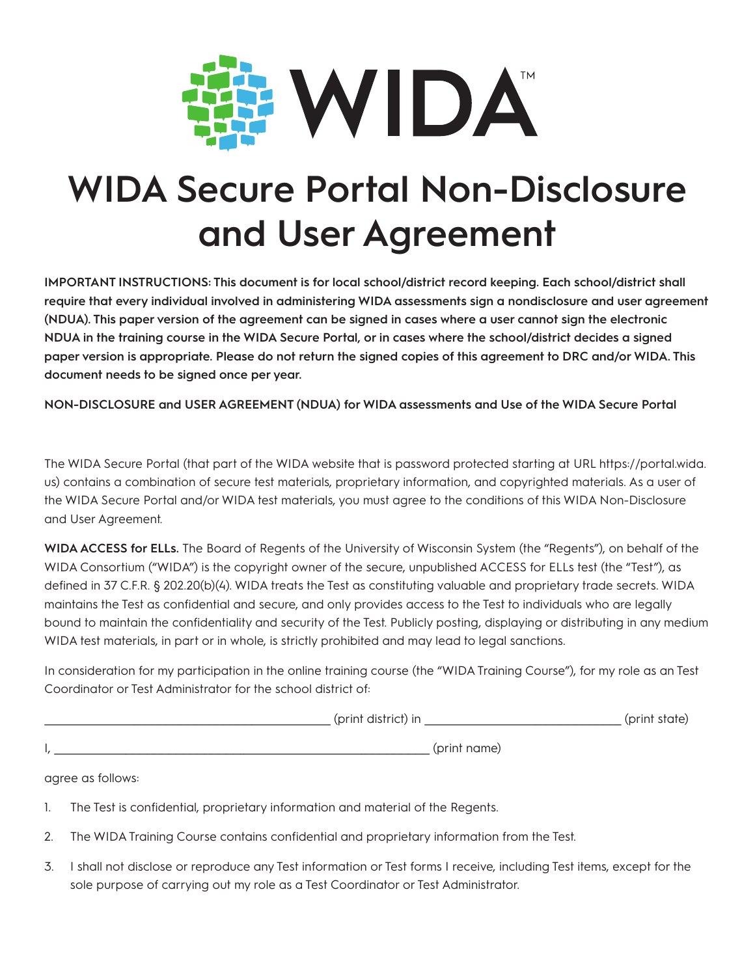

## **WIDA Secure Portal Non-Disclosure and User Agreement**

**IMPORTANT INSTRUCTIONS: This document is for local school/district record keeping. Each school/district shall require that every individual involved in administering WIDA assessments sign a nondisclosure and user agreement (NDUA). This paper version of the agreement can be signed in cases where a user cannot sign the electronic NDUA in the training course in the WIDA Secure Portal, or in cases where the school/district decides a signed paper version is appropriate. Please do not return the signed copies of this agreement to DRC and/or WIDA. This document needs to be signed once per year.**

**NON-DISCLOSURE and USER AGREEMENT (NDUA) for WIDA assessments and Use of the WIDA Secure Portal**

The WIDA Secure Portal (that part of the WIDA website that is password protected starting at URL https://portal.wida. us) contains a combination of secure test materials, proprietary information, and copyrighted materials. As a user of the WIDA Secure Portal and/or WIDA test materials, you must agree to the conditions of this WIDA Non-Disclosure and User Agreement.

**WIDA ACCESS for ELLs.** The Board of Regents of the University of Wisconsin System (the "Regents"), on behalf of the WIDA Consortium ("WIDA") is the copyright owner of the secure, unpublished ACCESS for ELLs test (the "Test"), as defined in 37 C.F.R. § 202.20(b)(4). WIDA treats the Test as constituting valuable and proprietary trade secrets. WIDA maintains the Test as confidential and secure, and only provides access to the Test to individuals who are legally bound to maintain the confidentiality and security of the Test. Publicly posting, displaying or distributing in any medium WIDA test materials, in part or in whole, is strictly prohibited and may lead to legal sanctions.

In consideration for my participation in the online training course (the "WIDA Training Course"), for my role as an Test Coordinator or Test Administrator for the school district of:

| (print district) in | (print state) |
|---------------------|---------------|
| (print name)        |               |

agree as follows:

- 1. The Test is confidential, proprietary information and material of the Regents.
- 2. The WIDA Training Course contains confidential and proprietary information from the Test.
- 3. I shall not disclose or reproduce any Test information or Test forms I receive, including Test items, except for the sole purpose of carrying out my role as a Test Coordinator or Test Administrator.